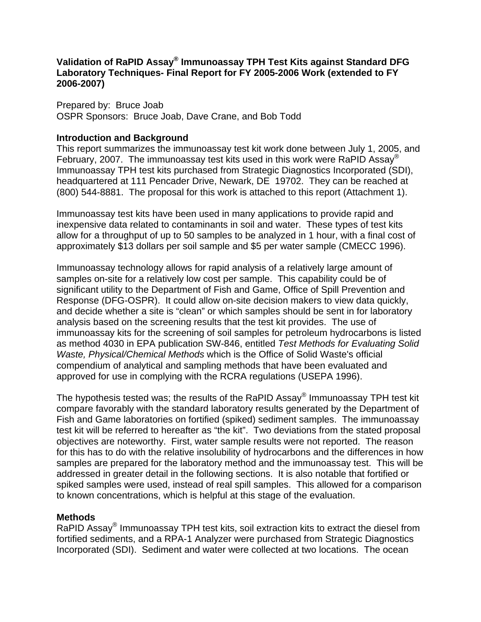## **Validation of RaPID Assay® Immunoassay TPH Test Kits against Standard DFG Laboratory Techniques- Final Report for FY 2005-2006 Work (extended to FY 2006-2007)**

Prepared by: Bruce Joab OSPR Sponsors: Bruce Joab, Dave Crane, and Bob Todd

## **Introduction and Background**

This report summarizes the immunoassay test kit work done between July 1, 2005, and February, 2007. The immunoassay test kits used in this work were RaPID Assay<sup>®</sup> Immunoassay TPH test kits purchased from Strategic Diagnostics Incorporated (SDI), headquartered at 111 Pencader Drive, Newark, DE 19702. They can be reached at (800) 544-8881. The proposal for this work is attached to this report (Attachment 1).

Immunoassay test kits have been used in many applications to provide rapid and inexpensive data related to contaminants in soil and water. These types of test kits allow for a throughput of up to 50 samples to be analyzed in 1 hour, with a final cost of approximately \$13 dollars per soil sample and \$5 per water sample (CMECC 1996).

Immunoassay technology allows for rapid analysis of a relatively large amount of samples on-site for a relatively low cost per sample. This capability could be of significant utility to the Department of Fish and Game, Office of Spill Prevention and Response (DFG-OSPR). It could allow on-site decision makers to view data quickly, and decide whether a site is "clean" or which samples should be sent in for laboratory analysis based on the screening results that the test kit provides. The use of immunoassay kits for the screening of soil samples for petroleum hydrocarbons is listed as method 4030 in EPA publication SW-846, entitled *Test Methods for Evaluating Solid Waste, Physical/Chemical Methods* which is the Office of Solid Waste's official compendium of analytical and sampling methods that have been evaluated and approved for use in complying with the RCRA regulations (USEPA 1996).

The hypothesis tested was; the results of the RaPID Assay® Immunoassay TPH test kit compare favorably with the standard laboratory results generated by the Department of Fish and Game laboratories on fortified (spiked) sediment samples. The immunoassay test kit will be referred to hereafter as "the kit". Two deviations from the stated proposal objectives are noteworthy. First, water sample results were not reported. The reason for this has to do with the relative insolubility of hydrocarbons and the differences in how samples are prepared for the laboratory method and the immunoassay test. This will be addressed in greater detail in the following sections. It is also notable that fortified or spiked samples were used, instead of real spill samples. This allowed for a comparison to known concentrations, which is helpful at this stage of the evaluation.

## **Methods**

RaPID Assay<sup>®</sup> Immunoassay TPH test kits, soil extraction kits to extract the diesel from fortified sediments, and a RPA-1 Analyzer were purchased from Strategic Diagnostics Incorporated (SDI). Sediment and water were collected at two locations. The ocean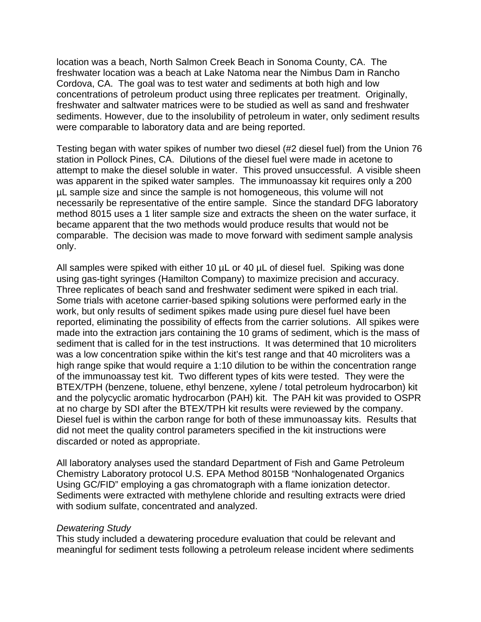location was a beach, North Salmon Creek Beach in Sonoma County, CA. The freshwater location was a beach at Lake Natoma near the Nimbus Dam in Rancho Cordova, CA. The goal was to test water and sediments at both high and low concentrations of petroleum product using three replicates per treatment. Originally, freshwater and saltwater matrices were to be studied as well as sand and freshwater sediments. However, due to the insolubility of petroleum in water, only sediment results were comparable to laboratory data and are being reported.

Testing began with water spikes of number two diesel (#2 diesel fuel) from the Union 76 station in Pollock Pines, CA. Dilutions of the diesel fuel were made in acetone to attempt to make the diesel soluble in water. This proved unsuccessful. A visible sheen was apparent in the spiked water samples. The immunoassay kit requires only a 200 µL sample size and since the sample is not homogeneous, this volume will not necessarily be representative of the entire sample. Since the standard DFG laboratory method 8015 uses a 1 liter sample size and extracts the sheen on the water surface, it became apparent that the two methods would produce results that would not be comparable. The decision was made to move forward with sediment sample analysis only.

All samples were spiked with either 10  $\mu$ L or 40  $\mu$ L of diesel fuel. Spiking was done using gas-tight syringes (Hamilton Company) to maximize precision and accuracy. Three replicates of beach sand and freshwater sediment were spiked in each trial. Some trials with acetone carrier-based spiking solutions were performed early in the work, but only results of sediment spikes made using pure diesel fuel have been reported, eliminating the possibility of effects from the carrier solutions. All spikes were made into the extraction jars containing the 10 grams of sediment, which is the mass of sediment that is called for in the test instructions. It was determined that 10 microliters was a low concentration spike within the kit's test range and that 40 microliters was a high range spike that would require a 1:10 dilution to be within the concentration range of the immunoassay test kit. Two different types of kits were tested. They were the BTEX/TPH (benzene, toluene, ethyl benzene, xylene / total petroleum hydrocarbon) kit and the polycyclic aromatic hydrocarbon (PAH) kit. The PAH kit was provided to OSPR at no charge by SDI after the BTEX/TPH kit results were reviewed by the company. Diesel fuel is within the carbon range for both of these immunoassay kits. Results that did not meet the quality control parameters specified in the kit instructions were discarded or noted as appropriate.

All laboratory analyses used the standard Department of Fish and Game Petroleum Chemistry Laboratory protocol U.S. EPA Method 8015B "Nonhalogenated Organics Using GC/FID" employing a gas chromatograph with a flame ionization detector. Sediments were extracted with methylene chloride and resulting extracts were dried with sodium sulfate, concentrated and analyzed.

#### *Dewatering Study*

This study included a dewatering procedure evaluation that could be relevant and meaningful for sediment tests following a petroleum release incident where sediments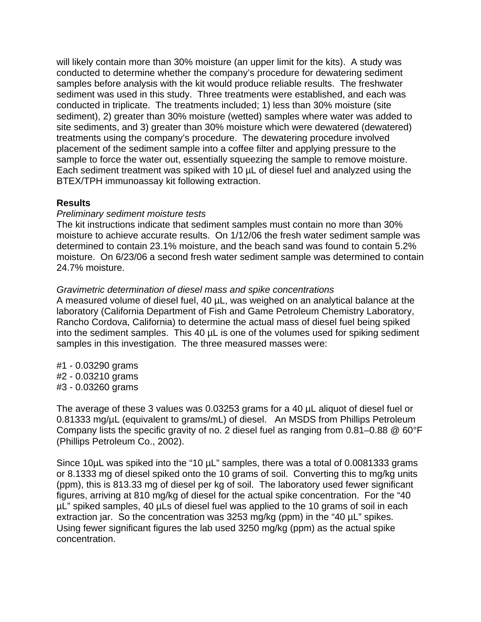will likely contain more than 30% moisture (an upper limit for the kits). A study was conducted to determine whether the company's procedure for dewatering sediment samples before analysis with the kit would produce reliable results. The freshwater sediment was used in this study. Three treatments were established, and each was conducted in triplicate. The treatments included; 1) less than 30% moisture (site sediment), 2) greater than 30% moisture (wetted) samples where water was added to site sediments, and 3) greater than 30% moisture which were dewatered (dewatered) treatments using the company's procedure. The dewatering procedure involved placement of the sediment sample into a coffee filter and applying pressure to the sample to force the water out, essentially squeezing the sample to remove moisture. Each sediment treatment was spiked with 10 µL of diesel fuel and analyzed using the BTEX/TPH immunoassay kit following extraction.

### **Results**

#### *Preliminary sediment moisture tests*

The kit instructions indicate that sediment samples must contain no more than 30% moisture to achieve accurate results. On 1/12/06 the fresh water sediment sample was determined to contain 23.1% moisture, and the beach sand was found to contain 5.2% moisture. On 6/23/06 a second fresh water sediment sample was determined to contain 24.7% moisture.

### *Gravimetric determination of diesel mass and spike concentrations*

A measured volume of diesel fuel, 40 µL, was weighed on an analytical balance at the laboratory (California Department of Fish and Game Petroleum Chemistry Laboratory, Rancho Cordova, California) to determine the actual mass of diesel fuel being spiked into the sediment samples. This 40 µL is one of the volumes used for spiking sediment samples in this investigation. The three measured masses were:

#1 - 0.03290 grams #2 - 0.03210 grams #3 - 0.03260 grams

The average of these 3 values was 0.03253 grams for a 40 µL aliquot of diesel fuel or 0.81333 mg/µL (equivalent to grams/mL) of diesel. An MSDS from Phillips Petroleum Company lists the specific gravity of no. 2 diesel fuel as ranging from 0.81–0.88 @ 60°F (Phillips Petroleum Co., 2002).

Since 10µL was spiked into the "10 µL" samples, there was a total of 0.0081333 grams or 8.1333 mg of diesel spiked onto the 10 grams of soil. Converting this to mg/kg units (ppm), this is 813.33 mg of diesel per kg of soil. The laboratory used fewer significant figures, arriving at 810 mg/kg of diesel for the actual spike concentration. For the "40 µL" spiked samples, 40 µLs of diesel fuel was applied to the 10 grams of soil in each extraction jar. So the concentration was 3253 mg/kg (ppm) in the "40 µL" spikes. Using fewer significant figures the lab used 3250 mg/kg (ppm) as the actual spike concentration.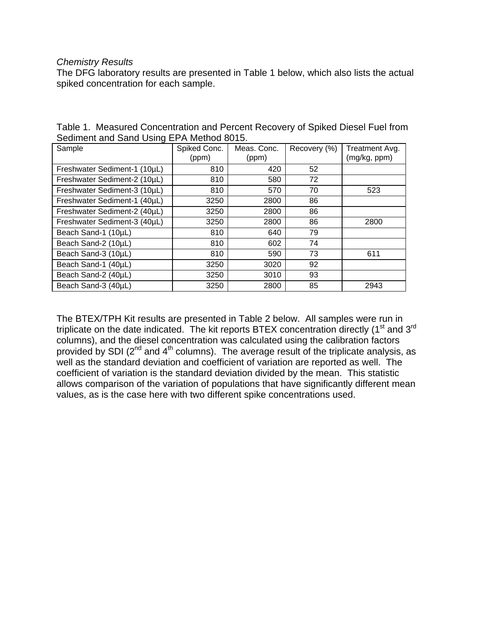#### *Chemistry Results*

The DFG laboratory results are presented in Table 1 below, which also lists the actual spiked concentration for each sample.

| Sample                       | Spiked Conc.<br>(ppm) | Meas. Conc.<br>(ppm) | Recovery (%) | Treatment Avg.<br>(mg/kg, ppm) |
|------------------------------|-----------------------|----------------------|--------------|--------------------------------|
| Freshwater Sediment-1 (10µL) | 810                   | 420                  | 52           |                                |
| Freshwater Sediment-2 (10µL) | 810                   | 580                  | 72           |                                |
| Freshwater Sediment-3 (10µL) | 810                   | 570                  | 70           | 523                            |
| Freshwater Sediment-1 (40µL) | 3250                  | 2800                 | 86           |                                |
| Freshwater Sediment-2 (40µL) | 3250                  | 2800                 | 86           |                                |
| Freshwater Sediment-3 (40µL) | 3250                  | 2800                 | 86           | 2800                           |
| Beach Sand-1 (10µL)          | 810                   | 640                  | 79           |                                |
| Beach Sand-2 (10µL)          | 810                   | 602                  | 74           |                                |
| Beach Sand-3 (10µL)          | 810                   | 590                  | 73           | 611                            |
| Beach Sand-1 (40µL)          | 3250                  | 3020                 | 92           |                                |
| Beach Sand-2 (40µL)          | 3250                  | 3010                 | 93           |                                |
| Beach Sand-3 (40µL)          | 3250                  | 2800                 | 85           | 2943                           |

Table 1. Measured Concentration and Percent Recovery of Spiked Diesel Fuel from Sediment and Sand Using EPA Method 8015.

The BTEX/TPH Kit results are presented in Table 2 below. All samples were run in triplicate on the date indicated. The kit reports BTEX concentration directly (1<sup>st</sup> and 3<sup>rd</sup> columns), and the diesel concentration was calculated using the calibration factors provided by SDI ( $2<sup>nd</sup>$  and  $4<sup>th</sup>$  columns). The average result of the triplicate analysis, as well as the standard deviation and coefficient of variation are reported as well. The coefficient of variation is the standard deviation divided by the mean. This statistic allows comparison of the variation of populations that have significantly different mean values, as is the case here with two different spike concentrations used.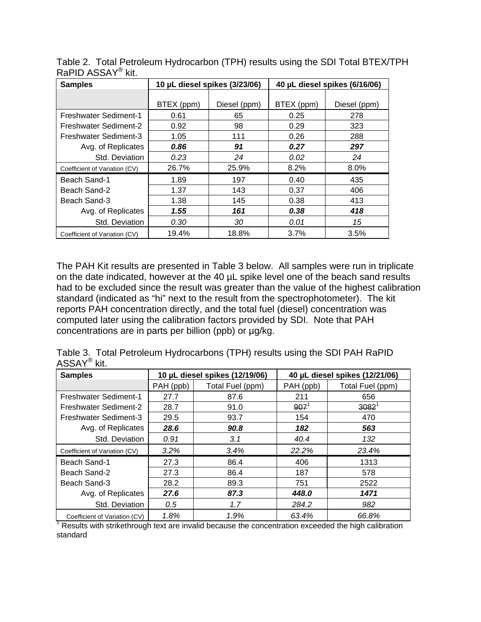| <b>Samples</b>                |            | 10 µL diesel spikes (3/23/06) |            | 40 µL diesel spikes (6/16/06) |
|-------------------------------|------------|-------------------------------|------------|-------------------------------|
|                               |            |                               |            |                               |
|                               | BTEX (ppm) | Diesel (ppm)                  | BTEX (ppm) | Diesel (ppm)                  |
| <b>Freshwater Sediment-1</b>  | 0.61       | 65                            | 0.25       | 278                           |
| Freshwater Sediment-2         | 0.92       | 98                            | 0.29       | 323                           |
| <b>Freshwater Sediment-3</b>  | 1.05       | 111                           | 0.26       | 288                           |
| Avg. of Replicates            | 0.86       | 91                            | 0.27       | 297                           |
| Std. Deviation                | 0.23       | 24                            | 0.02       | 24                            |
| Coefficient of Variation (CV) | 26.7%      | 25.9%                         | 8.2%       | 8.0%                          |
| Beach Sand-1                  | 1.89       | 197                           | 0.40       | 435                           |
| Beach Sand-2                  | 1.37       | 143                           | 0.37       | 406                           |
| Beach Sand-3                  | 1.38       | 145                           | 0.38       | 413                           |
| Avg. of Replicates            | 1.55       | 161                           | 0.38       | 418                           |
| Std. Deviation                | 0.30       | 30                            | 0.01       | 15                            |
| Coefficient of Variation (CV) | 19.4%      | 18.8%                         | 3.7%       | 3.5%                          |

Table 2. Total Petroleum Hydrocarbon (TPH) results using the SDI Total BTEX/TPH RaPID ASSAY® kit.

The PAH Kit results are presented in Table 3 below. All samples were run in triplicate on the date indicated, however at the 40 µL spike level one of the beach sand results had to be excluded since the result was greater than the value of the highest calibration standard (indicated as "hi" next to the result from the spectrophotometer). The kit reports PAH concentration directly, and the total fuel (diesel) concentration was computed later using the calibration factors provided by SDI. Note that PAH concentrations are in parts per billion (ppb) or µg/kg.

|                         | Table 3. Total Petroleum Hydrocarbons (TPH) results using the SDI PAH RaPID |
|-------------------------|-----------------------------------------------------------------------------|
| ASSAY <sup>®</sup> kit. |                                                                             |

| <b>Samples</b>                |           | 10 µL diesel spikes (12/19/06) | 40 µL diesel spikes (12/21/06) |                  |
|-------------------------------|-----------|--------------------------------|--------------------------------|------------------|
|                               | PAH (ppb) | Total Fuel (ppm)               | PAH (ppb)                      | Total Fuel (ppm) |
| <b>Freshwater Sediment-1</b>  | 27.7      | 87.6                           | 211                            | 656              |
| Freshwater Sediment-2         | 28.7      | 91.0                           | $907^1$                        | $3082^1$         |
| <b>Freshwater Sediment-3</b>  | 29.5      | 93.7                           | 154                            | 470              |
| Avg. of Replicates            | 28.6      | 90.8                           | 182                            | 563              |
| Std. Deviation                | 0.91      | 3.1                            | 40.4                           | 132              |
| Coefficient of Variation (CV) | 3.2%      | 3.4%                           | 22.2%                          | 23.4%            |
| Beach Sand-1                  | 27.3      | 86.4                           | 406                            | 1313             |
| Beach Sand-2                  | 27.3      | 86.4                           | 187                            | 578              |
| Beach Sand-3                  | 28.2      | 89.3                           | 751                            | 2522             |
| Avg. of Replicates            | 27.6      | 87.3                           | 448.0                          | 1471             |
| Std. Deviation                | 0.5       | 1.7                            | 284.2                          | 982              |
| Coefficient of Variation (CV) | 1.8%      | 1.9%                           | 63.4%                          | 66.8%            |

 $1$  Results with strikethrough text are invalid because the concentration exceeded the high calibration standard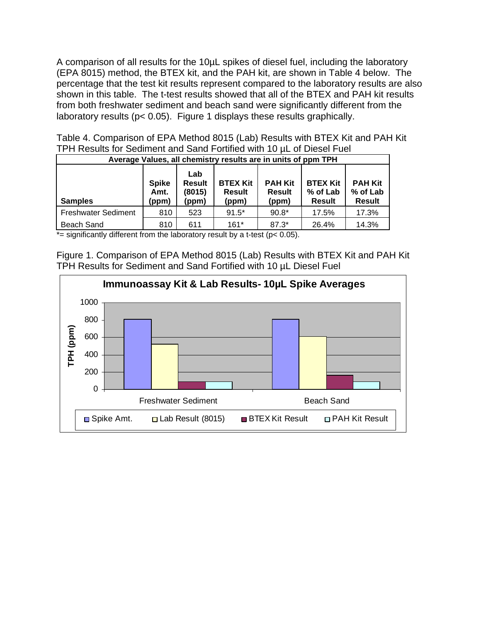A comparison of all results for the 10µL spikes of diesel fuel, including the laboratory (EPA 8015) method, the BTEX kit, and the PAH kit, are shown in Table 4 below. The percentage that the test kit results represent compared to the laboratory results are also shown in this table. The t-test results showed that all of the BTEX and PAH kit results from both freshwater sediment and beach sand were significantly different from the laboratory results (p< 0.05). Figure 1 displays these results graphically.

Table 4. Comparison of EPA Method 8015 (Lab) Results with BTEX Kit and PAH Kit TPH Results for Sediment and Sand Fortified with 10 µL of Diesel Fuel

|                            |                               |                                         | Average Values, all chemistry results are in units of ppm TPH |                                          |                                              |                                             |
|----------------------------|-------------------------------|-----------------------------------------|---------------------------------------------------------------|------------------------------------------|----------------------------------------------|---------------------------------------------|
| <b>Samples</b>             | <b>Spike</b><br>Amt.<br>(ppm) | Lab<br><b>Result</b><br>(8015)<br>(ppm) | <b>BTEX Kit</b><br><b>Result</b><br>(ppm)                     | <b>PAH Kit</b><br><b>Result</b><br>(ppm) | <b>BTEX Kit</b><br>% of Lab<br><b>Result</b> | <b>PAH Kit</b><br>% of Lab<br><b>Result</b> |
| <b>Freshwater Sediment</b> | 810                           | 523                                     | $91.5*$                                                       | $90.8*$                                  | 17.5%                                        | 17.3%                                       |
| <b>Beach Sand</b>          | 810                           | 611                                     | $161*$                                                        | $87.3*$                                  | 26.4%                                        | 14.3%                                       |

 $*$ = significantly different from the laboratory result by a t-test ( $p$ < 0.05).

Figure 1. Comparison of EPA Method 8015 (Lab) Results with BTEX Kit and PAH Kit TPH Results for Sediment and Sand Fortified with 10 µL Diesel Fuel

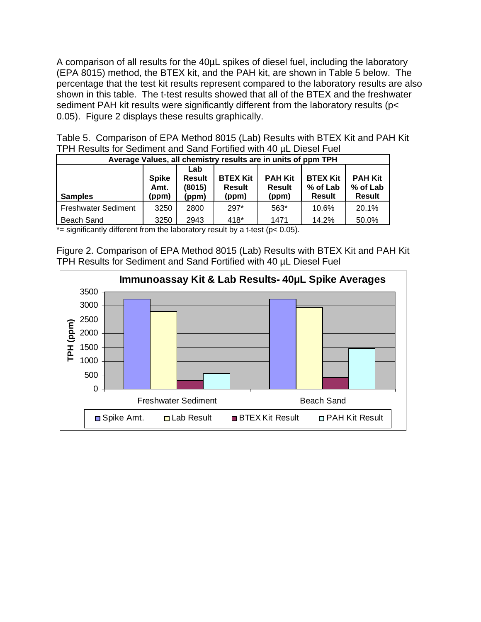A comparison of all results for the 40µL spikes of diesel fuel, including the laboratory (EPA 8015) method, the BTEX kit, and the PAH kit, are shown in Table 5 below. The percentage that the test kit results represent compared to the laboratory results are also shown in this table. The t-test results showed that all of the BTEX and the freshwater sediment PAH kit results were significantly different from the laboratory results (p< 0.05). Figure 2 displays these results graphically.

| Table 5. Comparison of EPA Method 8015 (Lab) Results with BTEX Kit and PAH Kit |  |  |  |
|--------------------------------------------------------------------------------|--|--|--|
| TPH Results for Sediment and Sand Fortified with 40 µL Diesel Fuel             |  |  |  |

|                            |                               |                                         | Average Values, all chemistry results are in units of ppm TPH |                                          |                                              |                                             |
|----------------------------|-------------------------------|-----------------------------------------|---------------------------------------------------------------|------------------------------------------|----------------------------------------------|---------------------------------------------|
| <b>Samples</b>             | <b>Spike</b><br>Amt.<br>(ppm) | Lab<br><b>Result</b><br>(8015)<br>(ppm) | <b>BTEX Kit</b><br><b>Result</b><br>(ppm)                     | <b>PAH Kit</b><br><b>Result</b><br>(ppm) | <b>BTEX Kit</b><br>% of Lab<br><b>Result</b> | <b>PAH Kit</b><br>% of Lab<br><b>Result</b> |
| <b>Freshwater Sediment</b> | 3250                          | 2800                                    | $297*$                                                        | 563*                                     | 10.6%                                        | 20.1%                                       |
| Beach Sand                 | 3250                          | 2943                                    | 418*                                                          | 1471                                     | 14.2%                                        | 50.0%                                       |

 $\overline{f}$  = significantly different from the laboratory result by a t-test (p< 0.05).

Figure 2. Comparison of EPA Method 8015 (Lab) Results with BTEX Kit and PAH Kit TPH Results for Sediment and Sand Fortified with 40 µL Diesel Fuel

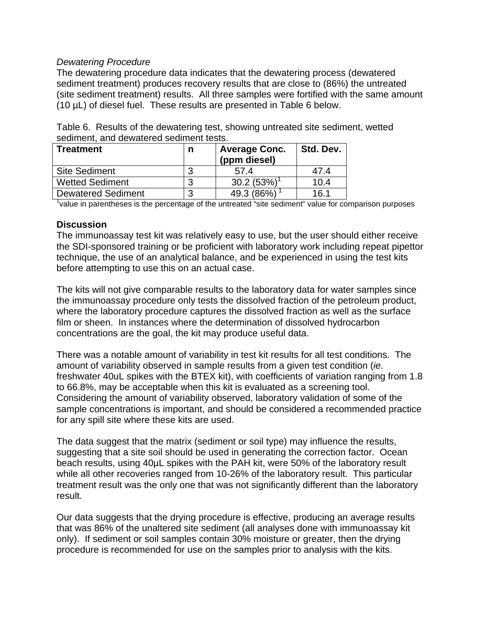## *Dewatering Procedure*

The dewatering procedure data indicates that the dewatering process (dewatered sediment treatment) produces recovery results that are close to (86%) the untreated (site sediment treatment) results. All three samples were fortified with the same amount (10 µL) of diesel fuel. These results are presented in Table 6 below.

| Table 6. Results of the dewatering test, showing untreated site sediment, wetted |  |
|----------------------------------------------------------------------------------|--|
| sediment, and dewatered sediment tests.                                          |  |

| Treatment                 | n | <b>Average Conc.</b><br>(ppm diesel) | Std. Dev. |
|---------------------------|---|--------------------------------------|-----------|
| <b>Site Sediment</b>      |   | 57.4                                 | 47.4      |
| <b>Wetted Sediment</b>    |   | 30.2(53%)                            | 10.4      |
| <b>Dewatered Sediment</b> | ി | 49.3 (86%)                           | 16.1      |

<sup>1</sup>value in parentheses is the percentage of the untreated "site sediment" value for comparison purposes

### **Discussion**

The immunoassay test kit was relatively easy to use, but the user should either receive the SDI-sponsored training or be proficient with laboratory work including repeat pipettor technique, the use of an analytical balance, and be experienced in using the test kits before attempting to use this on an actual case.

The kits will not give comparable results to the laboratory data for water samples since the immunoassay procedure only tests the dissolved fraction of the petroleum product, where the laboratory procedure captures the dissolved fraction as well as the surface film or sheen. In instances where the determination of dissolved hydrocarbon concentrations are the goal, the kit may produce useful data.

There was a notable amount of variability in test kit results for all test conditions. The amount of variability observed in sample results from a given test condition (*ie*. freshwater 40uL spikes with the BTEX kit), with coefficients of variation ranging from 1.8 to 66.8%, may be acceptable when this kit is evaluated as a screening tool. Considering the amount of variability observed, laboratory validation of some of the sample concentrations is important, and should be considered a recommended practice for any spill site where these kits are used.

The data suggest that the matrix (sediment or soil type) may influence the results, suggesting that a site soil should be used in generating the correction factor. Ocean beach results, using 40µL spikes with the PAH kit, were 50% of the laboratory result while all other recoveries ranged from 10-26% of the laboratory result. This particular treatment result was the only one that was not significantly different than the laboratory result.

Our data suggests that the drying procedure is effective, producing an average results that was 86% of the unaltered site sediment (all analyses done with immunoassay kit only). If sediment or soil samples contain 30% moisture or greater, then the drying procedure is recommended for use on the samples prior to analysis with the kits.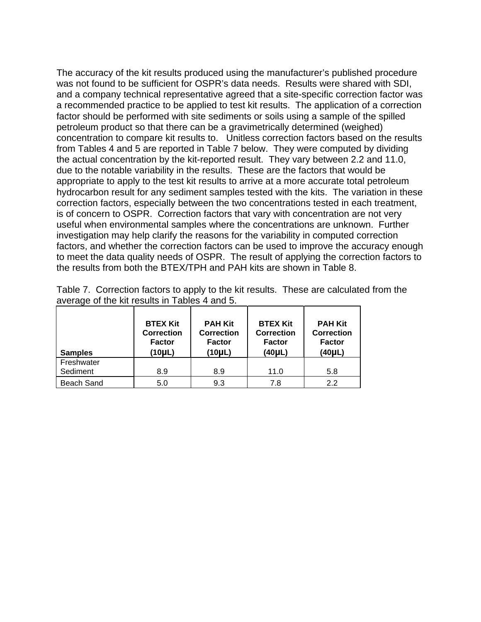The accuracy of the kit results produced using the manufacturer's published procedure was not found to be sufficient for OSPR's data needs. Results were shared with SDI, and a company technical representative agreed that a site-specific correction factor was a recommended practice to be applied to test kit results. The application of a correction factor should be performed with site sediments or soils using a sample of the spilled petroleum product so that there can be a gravimetrically determined (weighed) concentration to compare kit results to. Unitless correction factors based on the results from Tables 4 and 5 are reported in Table 7 below. They were computed by dividing the actual concentration by the kit-reported result. They vary between 2.2 and 11.0, due to the notable variability in the results. These are the factors that would be appropriate to apply to the test kit results to arrive at a more accurate total petroleum hydrocarbon result for any sediment samples tested with the kits. The variation in these correction factors, especially between the two concentrations tested in each treatment, is of concern to OSPR. Correction factors that vary with concentration are not very useful when environmental samples where the concentrations are unknown. Further investigation may help clarify the reasons for the variability in computed correction factors, and whether the correction factors can be used to improve the accuracy enough to meet the data quality needs of OSPR. The result of applying the correction factors to the results from both the BTEX/TPH and PAH kits are shown in Table 8.

| <b>Samples</b>         | <b>BTEX Kit</b><br><b>Correction</b><br><b>Factor</b><br>$(10\mu L)$ | <b>PAH Kit</b><br><b>Correction</b><br><b>Factor</b><br>(10µL) | <b>BTEX Kit</b><br><b>Correction</b><br><b>Factor</b><br>(40µL) | <b>PAH Kit</b><br><b>Correction</b><br><b>Factor</b><br>$(40\mu L)$ |
|------------------------|----------------------------------------------------------------------|----------------------------------------------------------------|-----------------------------------------------------------------|---------------------------------------------------------------------|
| Freshwater<br>Sediment | 8.9                                                                  | 8.9                                                            | 11.0                                                            | 5.8                                                                 |
| <b>Beach Sand</b>      | 5.0                                                                  | 9.3                                                            | 7.8                                                             | 2.2                                                                 |

Table 7. Correction factors to apply to the kit results. These are calculated from the average of the kit results in Tables 4 and 5.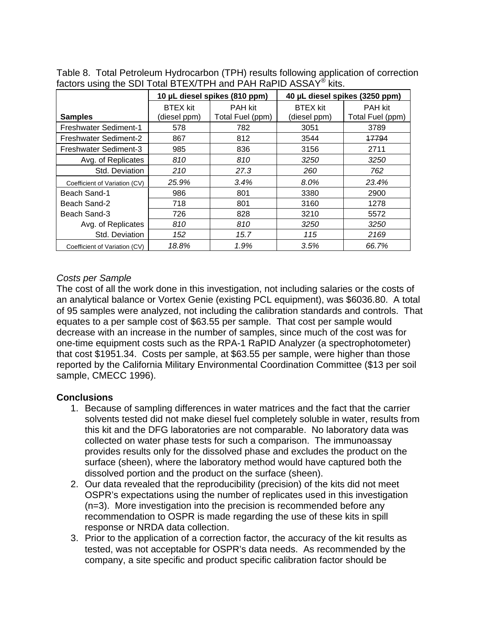|                               |                                 | 10 µL diesel spikes (810 ppm)      |                                 | 40 µL diesel spikes (3250 ppm)     |
|-------------------------------|---------------------------------|------------------------------------|---------------------------------|------------------------------------|
| <b>Samples</b>                | <b>BTEX</b> kit<br>(diesel ppm) | <b>PAH kit</b><br>Total Fuel (ppm) | <b>BTEX</b> kit<br>(diesel ppm) | <b>PAH kit</b><br>Total Fuel (ppm) |
| Freshwater Sediment-1         | 578                             | 782                                | 3051                            | 3789                               |
| Freshwater Sediment-2         | 867                             | 812                                | 3544                            | 17794                              |
| <b>Freshwater Sediment-3</b>  | 985                             | 836                                | 3156                            | 2711                               |
| Avg. of Replicates            | 810                             | 810                                | 3250                            | 3250                               |
| Std. Deviation                | 210                             | 27.3                               | 260                             | 762                                |
| Coefficient of Variation (CV) | 25.9%                           | 3.4%                               | 8.0%                            | 23.4%                              |
| Beach Sand-1                  | 986                             | 801                                | 3380                            | 2900                               |
| Beach Sand-2                  | 718                             | 801                                | 3160                            | 1278                               |
| Beach Sand-3                  | 726                             | 828                                | 3210                            | 5572                               |
| Avg. of Replicates            | 810                             | 810                                | 3250                            | 3250                               |
| Std. Deviation                | 152                             | 15.7                               | 115                             | 2169                               |
| Coefficient of Variation (CV) | 18.8%                           | 1.9%                               | 3.5%                            | 66.7%                              |

Table 8. Total Petroleum Hydrocarbon (TPH) results following application of correction factors using the SDI Total BTEX/TPH and PAH RaPID ASSAY<sup>®</sup> kits.

# *Costs per Sample*

The cost of all the work done in this investigation, not including salaries or the costs of an analytical balance or Vortex Genie (existing PCL equipment), was \$6036.80. A total of 95 samples were analyzed, not including the calibration standards and controls. That equates to a per sample cost of \$63.55 per sample. That cost per sample would decrease with an increase in the number of samples, since much of the cost was for one-time equipment costs such as the RPA-1 RaPID Analyzer (a spectrophotometer) that cost \$1951.34. Costs per sample, at \$63.55 per sample, were higher than those reported by the California Military Environmental Coordination Committee (\$13 per soil sample, CMECC 1996).

## **Conclusions**

- 1. Because of sampling differences in water matrices and the fact that the carrier solvents tested did not make diesel fuel completely soluble in water, results from this kit and the DFG laboratories are not comparable. No laboratory data was collected on water phase tests for such a comparison. The immunoassay provides results only for the dissolved phase and excludes the product on the surface (sheen), where the laboratory method would have captured both the dissolved portion and the product on the surface (sheen).
- 2. Our data revealed that the reproducibility (precision) of the kits did not meet OSPR's expectations using the number of replicates used in this investigation (n=3). More investigation into the precision is recommended before any recommendation to OSPR is made regarding the use of these kits in spill response or NRDA data collection.
- 3. Prior to the application of a correction factor, the accuracy of the kit results as tested, was not acceptable for OSPR's data needs. As recommended by the company, a site specific and product specific calibration factor should be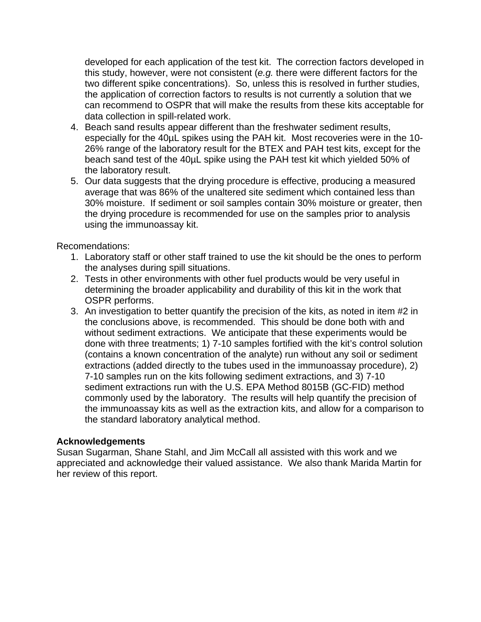developed for each application of the test kit. The correction factors developed in this study, however, were not consistent (*e.g.* there were different factors for the two different spike concentrations). So, unless this is resolved in further studies, the application of correction factors to results is not currently a solution that we can recommend to OSPR that will make the results from these kits acceptable for data collection in spill-related work.

- 4. Beach sand results appear different than the freshwater sediment results, especially for the 40µL spikes using the PAH kit. Most recoveries were in the 10- 26% range of the laboratory result for the BTEX and PAH test kits, except for the beach sand test of the 40µL spike using the PAH test kit which yielded 50% of the laboratory result.
- 5. Our data suggests that the drying procedure is effective, producing a measured average that was 86% of the unaltered site sediment which contained less than 30% moisture. If sediment or soil samples contain 30% moisture or greater, then the drying procedure is recommended for use on the samples prior to analysis using the immunoassay kit.

Recomendations:

- 1. Laboratory staff or other staff trained to use the kit should be the ones to perform the analyses during spill situations.
- 2. Tests in other environments with other fuel products would be very useful in determining the broader applicability and durability of this kit in the work that OSPR performs.
- 3. An investigation to better quantify the precision of the kits, as noted in item #2 in the conclusions above, is recommended. This should be done both with and without sediment extractions. We anticipate that these experiments would be done with three treatments; 1) 7-10 samples fortified with the kit's control solution (contains a known concentration of the analyte) run without any soil or sediment extractions (added directly to the tubes used in the immunoassay procedure), 2) 7-10 samples run on the kits following sediment extractions, and 3) 7-10 sediment extractions run with the U.S. EPA Method 8015B (GC-FID) method commonly used by the laboratory. The results will help quantify the precision of the immunoassay kits as well as the extraction kits, and allow for a comparison to the standard laboratory analytical method.

## **Acknowledgements**

Susan Sugarman, Shane Stahl, and Jim McCall all assisted with this work and we appreciated and acknowledge their valued assistance. We also thank Marida Martin for her review of this report.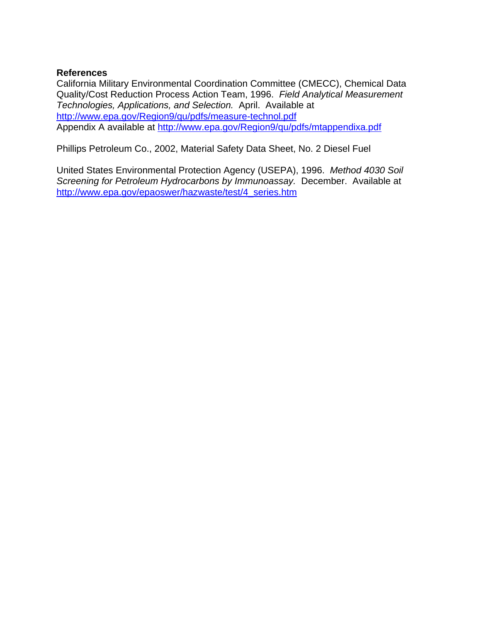## **References**

California Military Environmental Coordination Committee (CMECC), Chemical Data Quality/Cost Reduction Process Action Team, 1996. *Field Analytical Measurement Technologies, Applications, and Selection.* April. Available at http://www.epa.gov/Region9/qu/pdfs/measure-technol.pdf Appendix A available at http://www.epa.gov/Region9/qu/pdfs/mtappendixa.pdf

Phillips Petroleum Co., 2002, Material Safety Data Sheet, No. 2 Diesel Fuel

United States Environmental Protection Agency (USEPA), 1996. *Method 4030 Soil Screening for Petroleum Hydrocarbons by Immunoassay.* December. Available at http://www.epa.gov/epaoswer/hazwaste/test/4\_series.htm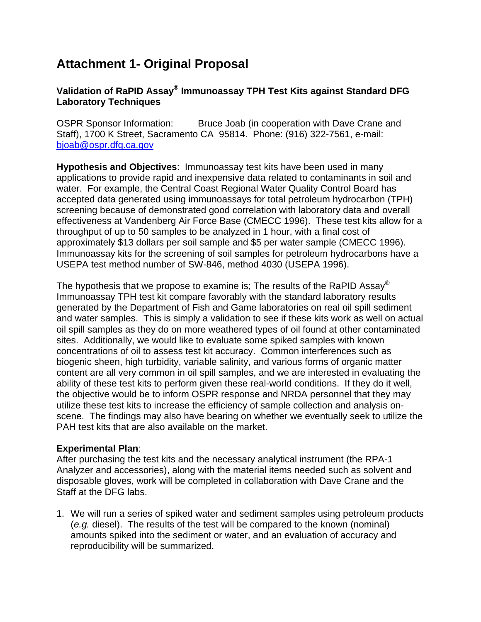# **Attachment 1- Original Proposal**

# **Validation of RaPID Assay® Immunoassay TPH Test Kits against Standard DFG Laboratory Techniques**

OSPR Sponsor Information: Bruce Joab (in cooperation with Dave Crane and Staff), 1700 K Street, Sacramento CA 95814. Phone: (916) 322-7561, e-mail: bjoab@ospr.dfg.ca.gov

**Hypothesis and Objectives**: Immunoassay test kits have been used in many applications to provide rapid and inexpensive data related to contaminants in soil and water. For example, the Central Coast Regional Water Quality Control Board has accepted data generated using immunoassays for total petroleum hydrocarbon (TPH) screening because of demonstrated good correlation with laboratory data and overall effectiveness at Vandenberg Air Force Base (CMECC 1996). These test kits allow for a throughput of up to 50 samples to be analyzed in 1 hour, with a final cost of approximately \$13 dollars per soil sample and \$5 per water sample (CMECC 1996). Immunoassay kits for the screening of soil samples for petroleum hydrocarbons have a USEPA test method number of SW-846, method 4030 (USEPA 1996).

The hypothesis that we propose to examine is; The results of the RaPID Assay<sup>®</sup> Immunoassay TPH test kit compare favorably with the standard laboratory results generated by the Department of Fish and Game laboratories on real oil spill sediment and water samples. This is simply a validation to see if these kits work as well on actual oil spill samples as they do on more weathered types of oil found at other contaminated sites. Additionally, we would like to evaluate some spiked samples with known concentrations of oil to assess test kit accuracy. Common interferences such as biogenic sheen, high turbidity, variable salinity, and various forms of organic matter content are all very common in oil spill samples, and we are interested in evaluating the ability of these test kits to perform given these real-world conditions. If they do it well, the objective would be to inform OSPR response and NRDA personnel that they may utilize these test kits to increase the efficiency of sample collection and analysis onscene. The findings may also have bearing on whether we eventually seek to utilize the PAH test kits that are also available on the market.

# **Experimental Plan**:

After purchasing the test kits and the necessary analytical instrument (the RPA-1 Analyzer and accessories), along with the material items needed such as solvent and disposable gloves, work will be completed in collaboration with Dave Crane and the Staff at the DFG labs.

1. We will run a series of spiked water and sediment samples using petroleum products (*e.g.* diesel). The results of the test will be compared to the known (nominal) amounts spiked into the sediment or water, and an evaluation of accuracy and reproducibility will be summarized.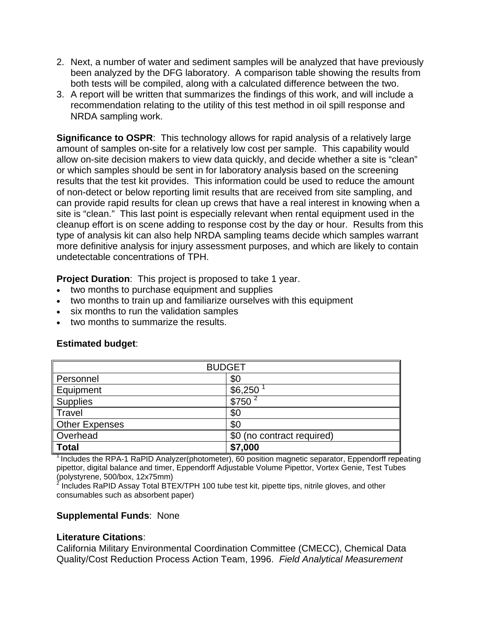- 2. Next, a number of water and sediment samples will be analyzed that have previously been analyzed by the DFG laboratory. A comparison table showing the results from both tests will be compiled, along with a calculated difference between the two.
- 3. A report will be written that summarizes the findings of this work, and will include a recommendation relating to the utility of this test method in oil spill response and NRDA sampling work.

**Significance to OSPR:** This technology allows for rapid analysis of a relatively large amount of samples on-site for a relatively low cost per sample. This capability would allow on-site decision makers to view data quickly, and decide whether a site is "clean" or which samples should be sent in for laboratory analysis based on the screening results that the test kit provides. This information could be used to reduce the amount of non-detect or below reporting limit results that are received from site sampling, and can provide rapid results for clean up crews that have a real interest in knowing when a site is "clean." This last point is especially relevant when rental equipment used in the cleanup effort is on scene adding to response cost by the day or hour. Results from this type of analysis kit can also help NRDA sampling teams decide which samples warrant more definitive analysis for injury assessment purposes, and which are likely to contain undetectable concentrations of TPH.

**Project Duration:** This project is proposed to take 1 year.

- two months to purchase equipment and supplies
- two months to train up and familiarize ourselves with this equipment
- six months to run the validation samples
- two months to summarize the results.

| <b>BUDGET</b>         |                            |  |  |  |
|-----------------------|----------------------------|--|--|--|
| Personnel             | \$0                        |  |  |  |
| Equipment             | \$6,250                    |  |  |  |
| <b>Supplies</b>       | \$750                      |  |  |  |
| Travel                | \$0                        |  |  |  |
| <b>Other Expenses</b> | \$0                        |  |  |  |
| Overhead              | \$0 (no contract required) |  |  |  |
| <b>Total</b>          | \$7,000                    |  |  |  |

## **Estimated budget**:

 $1$  Includes the RPA-1 RaPID Analyzer(photometer), 60 position magnetic separator, Eppendorff repeating pipettor, digital balance and timer, Eppendorff Adjustable Volume Pipettor, Vortex Genie, Test Tubes (polystyrene, 500/box, 12x75mm) 2

 Includes RaPID Assay Total BTEX/TPH 100 tube test kit, pipette tips, nitrile gloves, and other consumables such as absorbent paper)

## **Supplemental Funds**: None

## **Literature Citations**:

California Military Environmental Coordination Committee (CMECC), Chemical Data Quality/Cost Reduction Process Action Team, 1996. *Field Analytical Measurement*